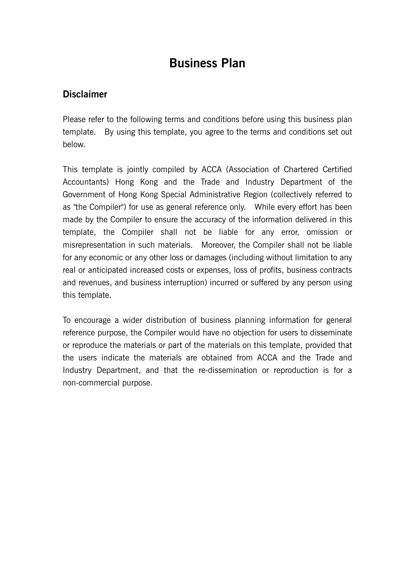# **Business Plan**

# **Disclaimer**

Please refer to the following terms and conditions before using this business plan template. By using this template, you agree to the terms and conditions set out below.

This template is jointly compiled by ACCA (Association of Chartered Certified Accountants) Hong Kong and the Trade and Industry Department of the Government of Hong Kong Special Administrative Region (collectively referred to as "the Compiler") for use as general reference only. While every effort has been made by the Compiler to ensure the accuracy of the information delivered in this template, the Compiler shall not be liable for any error, omission or misrepresentation in such materials. Moreover, the Compiler shall not be liable for any economic or any other loss or damages (including without limitation to any real or anticipated increased costs or expenses, loss of profits, business contracts and revenues, and business interruption) incurred or suffered by any person using this template.

To encourage a wider distribution of business planning information for general reference purpose, the Compiler would have no objection for users to disseminate or reproduce the materials or part of the materials on this template, provided that the users indicate the materials are obtained from ACCA and the Trade and Industry Department, and that the re-dissemination or reproduction is for a non-commercial purpose.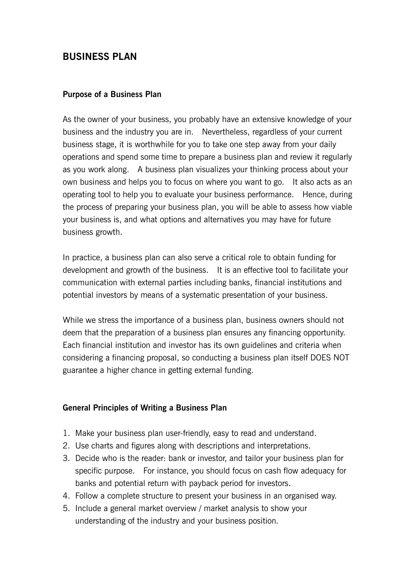# **BUSINESS PLAN**

## **Purpose of a Business Plan**

As the owner of your business, you probably have an extensive knowledge of your business and the industry you are in. Nevertheless, regardless of your current business stage, it is worthwhile for you to take one step away from your daily operations and spend some time to prepare a business plan and review it regularly as you work along. A business plan visualizes your thinking process about your own business and helps you to focus on where you want to go. It also acts as an operating tool to help you to evaluate your business performance. Hence, during the process of preparing your business plan, you will be able to assess how viable your business is, and what options and alternatives you may have for future business growth.

In practice, a business plan can also serve a critical role to obtain funding for development and growth of the business. It is an effective tool to facilitate your communication with external parties including banks, financial institutions and potential investors by means of a systematic presentation of your business.

While we stress the importance of a business plan, business owners should not deem that the preparation of a business plan ensures any financing opportunity. Each financial institution and investor has its own guidelines and criteria when considering a financing proposal, so conducting a business plan itself DOES NOT guarantee a higher chance in getting external funding.

## **General Principles of Writing a Business Plan**

- 1. Make your business plan user-friendly, easy to read and understand.
- 2. Use charts and figures along with descriptions and interpretations.
- 3. Decide who is the reader: bank or investor, and tailor your business plan for specific purpose. For instance, you should focus on cash flow adequacy for banks and potential return with payback period for investors.
- 4. Follow a complete structure to present your business in an organised way.
- 5. Include a general market overview / market analysis to show your understanding of the industry and your business position.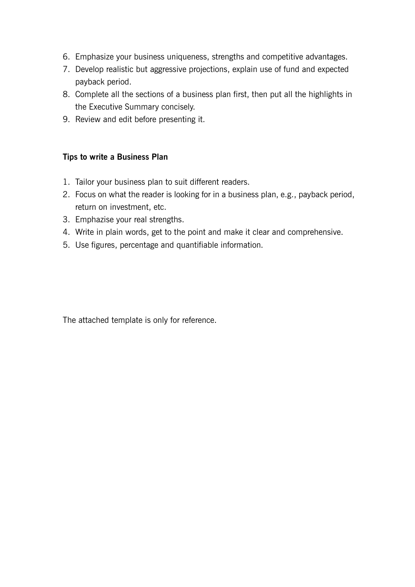- 6. Emphasize your business uniqueness, strengths and competitive advantages.
- 7. Develop realistic but aggressive projections, explain use of fund and expected payback period.
- 8. Complete all the sections of a business plan first, then put all the highlights in the Executive Summary concisely.
- 9. Review and edit before presenting it.

## **Tips to write a Business Plan**

- 1. Tailor your business plan to suit different readers.
- 2. Focus on what the reader is looking for in a business plan, e.g., payback period, return on investment, etc.
- 3. Emphazise your real strengths.
- 4. Write in plain words, get to the point and make it clear and comprehensive.
- 5. Use figures, percentage and quantifiable information.

The attached template is only for reference.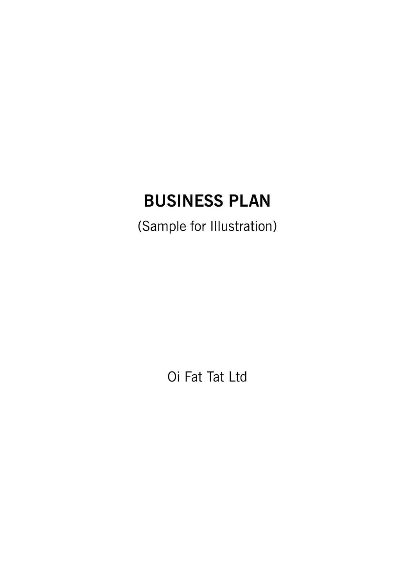# **BUSINESS PLAN**

(Sample for Illustration)

Oi Fat Tat Ltd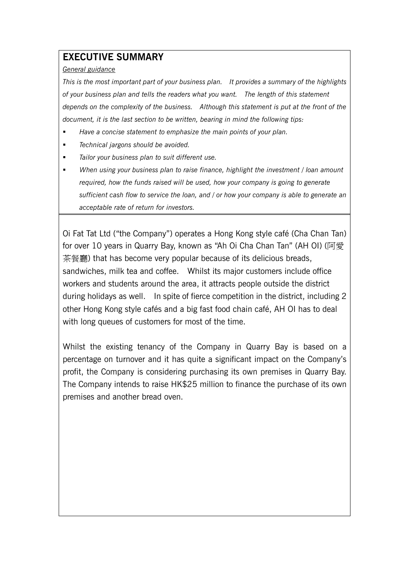# **EXECUTIVE SUMMARY**

#### *General guidance*

*This is the most important part of your business plan. It provides a summary of the highlights of your business plan and tells the readers what you want. The length of this statement depends on the complexity of the business. Although this statement is put at the front of the document, it is the last section to be written, bearing in mind the following tips:* 

- *Have a concise statement to emphasize the main points of your plan.*
- *Technical jargons should be avoided.*
- *Tailor your business plan to suit different use.*
- *When using your business plan to raise finance, highlight the investment / loan amount required, how the funds raised will be used, how your company is going to generate sufficient cash flow to service the loan, and / or how your company is able to generate an acceptable rate of return for investors.*

Oi Fat Tat Ltd ("the Company") operates a Hong Kong style café (Cha Chan Tan) for over 10 years in Quarry Bay, known as "Ah Oi Cha Chan Tan" (AH OI) (阿愛 茶餐廳) that has become very popular because of its delicious breads, sandwiches, milk tea and coffee. Whilst its major customers include office workers and students around the area, it attracts people outside the district during holidays as well. In spite of fierce competition in the district, including 2 other Hong Kong style cafés and a big fast food chain café, AH OI has to deal with long queues of customers for most of the time.

Whilst the existing tenancy of the Company in Quarry Bay is based on a percentage on turnover and it has quite a significant impact on the Company's profit, the Company is considering purchasing its own premises in Quarry Bay. The Company intends to raise HK\$25 million to finance the purchase of its own premises and another bread oven.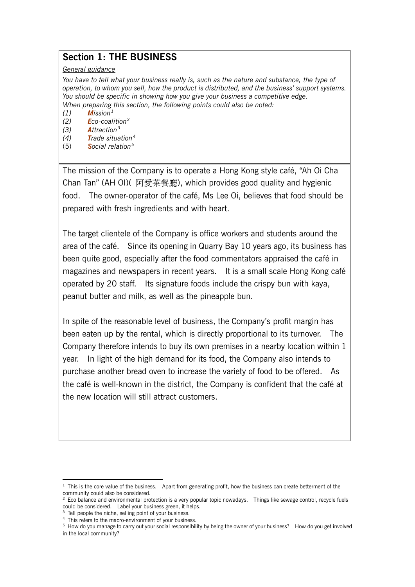## **Section 1: THE BUSINESS**

#### *General guidance*

*You have to tell what your business really is, such as the nature and substance, the type of operation, to whom you sell, how the product is distributed, and the business' support systems. You should be specific in showing how you give your business a competitive edge. When preparing this section, the following points could also be noted:*

*(1) Mission[1](#page-5-0)*

- *(2) Eco-coalition[2](#page-5-1)*
- *(3) Attraction[3](#page-5-2)*
- *(4) Trade situation[4](#page-5-3)*
- (5) *Social relation[5](#page-5-4)*

The mission of the Company is to operate a Hong Kong style café, "Ah Oi Cha Chan Tan" (AH OI)( 阿愛茶餐廳), which provides good quality and hygienic food. The owner-operator of the café, Ms Lee Oi, believes that food should be prepared with fresh ingredients and with heart.

The target clientele of the Company is office workers and students around the area of the café. Since its opening in Quarry Bay 10 years ago, its business has been quite good, especially after the food commentators appraised the café in magazines and newspapers in recent years. It is a small scale Hong Kong café operated by 20 staff. Its signature foods include the crispy bun with kaya, peanut butter and milk, as well as the pineapple bun.

In spite of the reasonable level of business, the Company's profit margin has been eaten up by the rental, which is directly proportional to its turnover. The Company therefore intends to buy its own premises in a nearby location within 1 year. In light of the high demand for its food, the Company also intends to purchase another bread oven to increase the variety of food to be offered. As the café is well-known in the district, the Company is confident that the café at the new location will still attract customers.

.

<span id="page-5-0"></span> $1$  This is the core value of the business. Apart from generating profit, how the business can create betterment of the community could also be considered.

<span id="page-5-1"></span><sup>&</sup>lt;sup>2</sup> Eco balance and environmental protection is a very popular topic nowadays. Things like sewage control, recycle fuels could be considered. Label your business green, it helps.

 $3$  Tell people the niche, selling point of your business.

<span id="page-5-2"></span><sup>&</sup>lt;sup>4</sup> This refers to the macro-environment of your business.

<span id="page-5-4"></span><span id="page-5-3"></span><sup>5</sup> How do you manage to carry out your social responsibility by being the owner of your business? How do you get involved in the local community?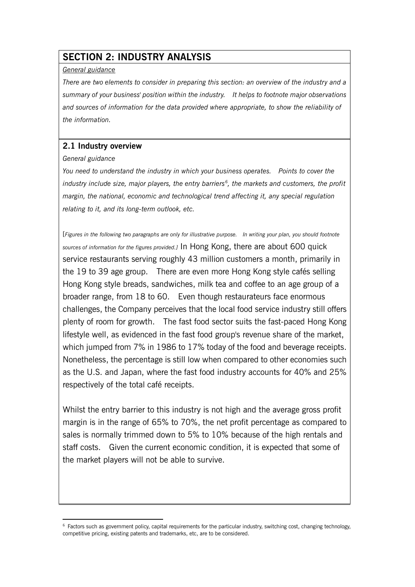## **SECTION 2: INDUSTRY ANALYSIS**

#### *General guidance*

*There are two elements to consider in preparing this section: an overview of the industry and a summary of your business' position within the industry. It helps to footnote major observations and sources of information for the data provided where appropriate, to show the reliability of the information.*

## **2.1 Industry overview**

#### *General guidance*

*You need to understand the industry in which your business operates. Points to cover the industry include size, major players, the entry barriers[6](#page-6-0) , the markets and customers, the profit margin, the national, economic and technological trend affecting it, any special regulation relating to it, and its long-term outlook, etc.*

[*Figures in the following two paragraphs are only for illustrative purpose. In writing your plan, you should footnote sources of information for the figures provided.]* In Hong Kong, there are about 600 quick service restaurants serving roughly 43 million customers a month, primarily in the 19 to 39 age group. There are even more Hong Kong style cafés selling Hong Kong style breads, sandwiches, milk tea and coffee to an age group of a broader range, from 18 to 60. Even though restaurateurs face enormous challenges, the Company perceives that the local food service industry still offers plenty of room for growth. The fast food sector suits the fast-paced Hong Kong lifestyle well, as evidenced in the fast food group's revenue share of the market, which jumped from 7% in 1986 to 17% today of the food and beverage receipts. Nonetheless, the percentage is still low when compared to other economies such as the U.S. and Japan, where the fast food industry accounts for 40% and 25% respectively of the total café receipts.

Whilst the entry barrier to this industry is not high and the average gross profit margin is in the range of 65% to 70%, the net profit percentage as compared to sales is normally trimmed down to 5% to 10% because of the high rentals and staff costs. Given the current economic condition, it is expected that some of the market players will not be able to survive.

<span id="page-6-0"></span><sup>.</sup>  $6$  Factors such as government policy, capital requirements for the particular industry, switching cost, changing technology, competitive pricing, existing patents and trademarks, etc, are to be considered.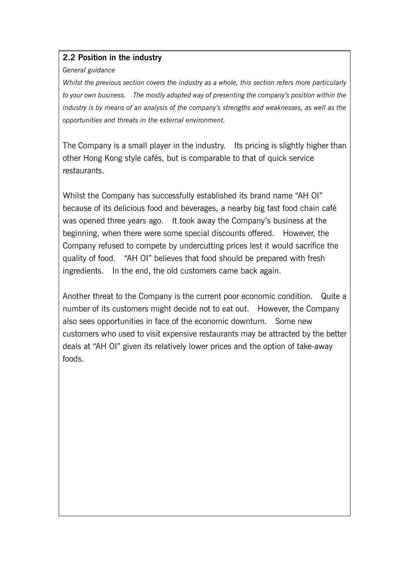## **2.2 Position in the industry**

#### *General guidance*

*Whilst the previous section covers the industry as a whole, this section refers more particularly to your own business. The mostly adopted way of presenting the company's position within the industry is by means of an analysis of the company's strengths and weaknesses, as well as the opportunities and threats in the external environment.* 

The Company is a small player in the industry. Its pricing is slightly higher than other Hong Kong style cafés, but is comparable to that of quick service restaurants.

Whilst the Company has successfully established its brand name "AH OI" because of its delicious food and beverages, a nearby big fast food chain café was opened three years ago. It took away the Company's business at the beginning, when there were some special discounts offered. However, the Company refused to compete by undercutting prices lest it would sacrifice the quality of food. "AH OI" believes that food should be prepared with fresh ingredients. In the end, the old customers came back again.

Another threat to the Company is the current poor economic condition. Quite a number of its customers might decide not to eat out. However, the Company also sees opportunities in face of the economic downturn. Some new customers who used to visit expensive restaurants may be attracted by the better deals at "AH OI" given its relatively lower prices and the option of take-away foods.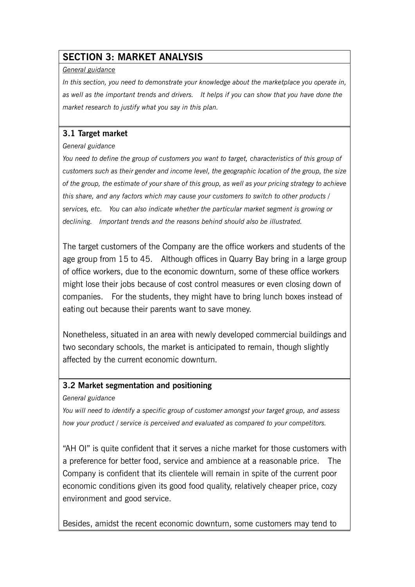# **SECTION 3: MARKET ANALYSIS**

#### *General guidance*

*In this section, you need to demonstrate your knowledge about the marketplace you operate in, as well as the important trends and drivers. It helps if you can show that you have done the market research to justify what you say in this plan.*

## **3.1 Target market**

#### *General guidance*

*You need to define the group of customers you want to target, characteristics of this group of customers such as their gender and income level, the geographic location of the group, the size of the group, the estimate of your share of this group, as well as your pricing strategy to achieve this share, and any factors which may cause your customers to switch to other products / services, etc. You can also indicate whether the particular market segment is growing or declining. Important trends and the reasons behind should also be illustrated.*

The target customers of the Company are the office workers and students of the age group from 15 to 45. Although offices in Quarry Bay bring in a large group of office workers, due to the economic downturn, some of these office workers might lose their jobs because of cost control measures or even closing down of companies. For the students, they might have to bring lunch boxes instead of eating out because their parents want to save money.

Nonetheless, situated in an area with newly developed commercial buildings and two secondary schools, the market is anticipated to remain, though slightly affected by the current economic downturn.

## **3.2 Market segmentation and positioning**

*General guidance*

*You will need to identify a specific group of customer amongst your target group, and assess how your product / service is perceived and evaluated as compared to your competitors.*

"AH OI" is quite confident that it serves a niche market for those customers with a preference for better food, service and ambience at a reasonable price. The Company is confident that its clientele will remain in spite of the current poor economic conditions given its good food quality, relatively cheaper price, cozy environment and good service.

Besides, amidst the recent economic downturn, some customers may tend to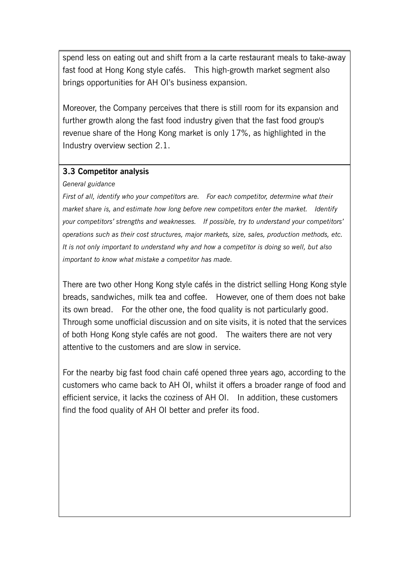spend less on eating out and shift from a la carte restaurant meals to take-away fast food at Hong Kong style cafés. This high-growth market segment also brings opportunities for AH OI's business expansion.

Moreover, the Company perceives that there is still room for its expansion and further growth along the fast food industry given that the fast food group's revenue share of the Hong Kong market is only 17%, as highlighted in the Industry overview section 2.1.

## **3.3 Competitor analysis**

#### *General guidance*

*First of all, identify who your competitors are. For each competitor, determine what their market share is, and estimate how long before new competitors enter the market. Identify your competitors' strengths and weaknesses. If possible, try to understand your competitors' operations such as their cost structures, major markets, size, sales, production methods, etc. It is not only important to understand why and how a competitor is doing so well, but also important to know what mistake a competitor has made.* 

There are two other Hong Kong style cafés in the district selling Hong Kong style breads, sandwiches, milk tea and coffee. However, one of them does not bake its own bread. For the other one, the food quality is not particularly good. Through some unofficial discussion and on site visits, it is noted that the services of both Hong Kong style cafés are not good. The waiters there are not very attentive to the customers and are slow in service.

For the nearby big fast food chain café opened three years ago, according to the customers who came back to AH OI, whilst it offers a broader range of food and efficient service, it lacks the coziness of AH OI. In addition, these customers find the food quality of AH OI better and prefer its food.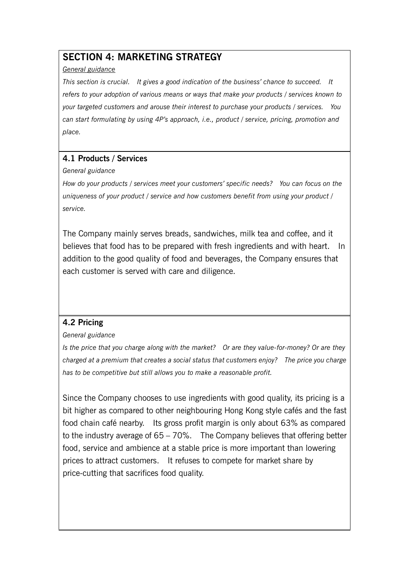# **SECTION 4: MARKETING STRATEGY**

#### *General guidance*

*This section is crucial. It gives a good indication of the business' chance to succeed. It refers to your adoption of various means or ways that make your products / services known to your targeted customers and arouse their interest to purchase your products / services. You can start formulating by using 4P's approach, i.e., product / service, pricing, promotion and place.*

## **4.1 Products / Services**

#### *General guidance*

*How do your products / services meet your customers' specific needs? You can focus on the uniqueness of your product / service and how customers benefit from using your product / service.* 

The Company mainly serves breads, sandwiches, milk tea and coffee, and it believes that food has to be prepared with fresh ingredients and with heart. In addition to the good quality of food and beverages, the Company ensures that each customer is served with care and diligence.

## **4.2 Pricing**

## *General guidance*

*Is the price that you charge along with the market? Or are they value-for-money? Or are they charged at a premium that creates a social status that customers enjoy? The price you charge has to be competitive but still allows you to make a reasonable profit.*

Since the Company chooses to use ingredients with good quality, its pricing is a bit higher as compared to other neighbouring Hong Kong style cafés and the fast food chain café nearby. Its gross profit margin is only about 63% as compared to the industry average of 65 – 70%. The Company believes that offering better food, service and ambience at a stable price is more important than lowering prices to attract customers. It refuses to compete for market share by price-cutting that sacrifices food quality.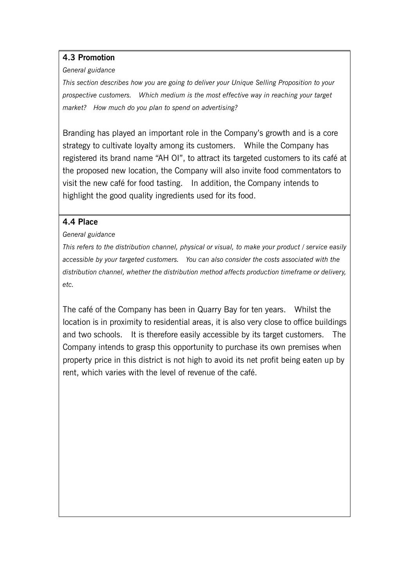## **4.3 Promotion**

#### *General guidance*

*This section describes how you are going to deliver your Unique Selling Proposition to your prospective customers. Which medium is the most effective way in reaching your target market? How much do you plan to spend on advertising?* 

Branding has played an important role in the Company's growth and is a core strategy to cultivate loyalty among its customers. While the Company has registered its brand name "AH OI", to attract its targeted customers to its café at the proposed new location, the Company will also invite food commentators to visit the new café for food tasting. In addition, the Company intends to highlight the good quality ingredients used for its food.

## **4.4 Place**

## *General guidance*

*This refers to the distribution channel, physical or visual, to make your product / service easily accessible by your targeted customers. You can also consider the costs associated with the distribution channel, whether the distribution method affects production timeframe or delivery, etc.*

The café of the Company has been in Quarry Bay for ten years. Whilst the location is in proximity to residential areas, it is also very close to office buildings and two schools. It is therefore easily accessible by its target customers. The Company intends to grasp this opportunity to purchase its own premises when property price in this district is not high to avoid its net profit being eaten up by rent, which varies with the level of revenue of the café.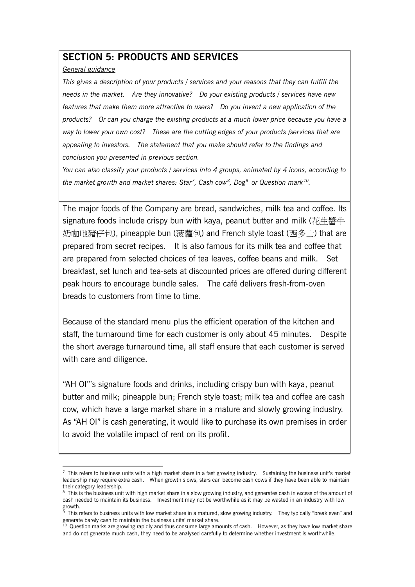## **SECTION 5: PRODUCTS AND SERVICES**

#### *General guidance*

.

*This gives a description of your products / services and your reasons that they can fulfill the needs in the market. Are they innovative? Do your existing products / services have new features that make them more attractive to users? Do you invent a new application of the products? Or can you charge the existing products at a much lower price because you have a way to lower your own cost? These are the cutting edges of your products /services that are appealing to investors. The statement that you make should refer to the findings and conclusion you presented in previous section.* 

*You can also classify your products / services into 4 groups, animated by 4 icons, according to the market growth and market shares: Star[7](#page-12-0) , Cash cow[8](#page-12-1) , Dog[9](#page-12-2) or Question mark[10.](#page-12-3)*

The major foods of the Company are bread, sandwiches, milk tea and coffee. Its signature foods include crispy bun with kaya, peanut butter and milk (花生醬牛 奶咖吔豬仔包), pineapple bun (菠蘿包) and French style toast (西多士) that are prepared from secret recipes. It is also famous for its milk tea and coffee that are prepared from selected choices of tea leaves, coffee beans and milk. Set breakfast, set lunch and tea-sets at discounted prices are offered during different peak hours to encourage bundle sales. The café delivers fresh-from-oven breads to customers from time to time.

Because of the standard menu plus the efficient operation of the kitchen and staff, the turnaround time for each customer is only about 45 minutes. Despite the short average turnaround time, all staff ensure that each customer is served with care and diligence.

"AH OI"'s signature foods and drinks, including crispy bun with kaya, peanut butter and milk; pineapple bun; French style toast; milk tea and coffee are cash cow, which have a large market share in a mature and slowly growing industry. As "AH OI" is cash generating, it would like to purchase its own premises in order to avoid the volatile impact of rent on its profit.

<span id="page-12-0"></span> $\frac{7}{1}$  This refers to business units with a high market share in a fast growing industry. Sustaining the business unit's market leadership may require extra cash. When growth slows, stars can become cash cows if they have been able to maintain their category leadership.

<span id="page-12-1"></span><sup>&</sup>lt;sup>8</sup> This is the business unit with high market share in a slow growing industry, and generates cash in excess of the amount of cash needed to maintain its business. Investment may not be worthwhile as it may be wasted in an industry with low growth.

<span id="page-12-2"></span>This refers to business units with low market share in a matured, slow growing industry. They typically "break even" and generate barely cash to maintain the business units' market share.

<span id="page-12-3"></span> $10$  Question marks are growing rapidly and thus consume large amounts of cash. However, as they have low market share and do not generate much cash, they need to be analysed carefully to determine whether investment is worthwhile.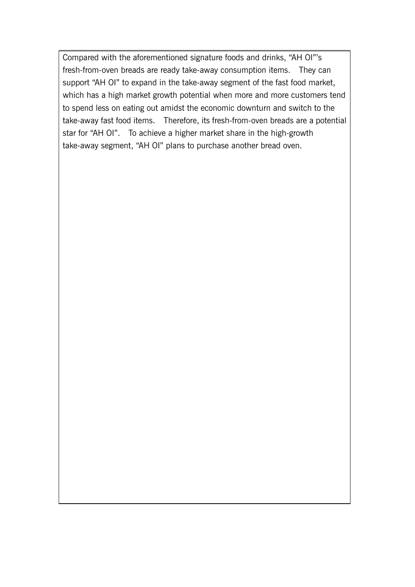Compared with the aforementioned signature foods and drinks, "AH OI"'s fresh-from-oven breads are ready take-away consumption items. They can support "AH OI" to expand in the take-away segment of the fast food market, which has a high market growth potential when more and more customers tend to spend less on eating out amidst the economic downturn and switch to the take-away fast food items. Therefore, its fresh-from-oven breads are a potential star for "AH OI". To achieve a higher market share in the high-growth take-away segment, "AH OI" plans to purchase another bread oven.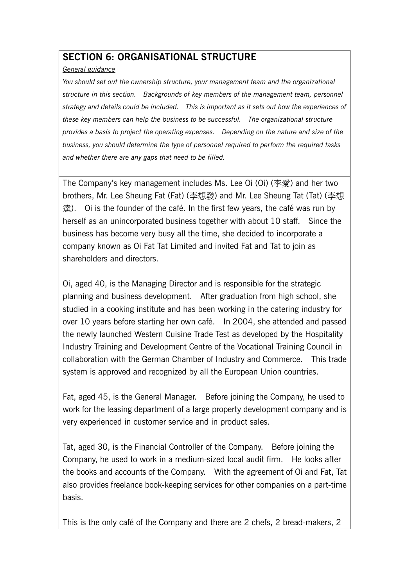## **SECTION 6: ORGANISATIONAL STRUCTURE**

### *General guidance*

*You should set out the ownership structure, your management team and the organizational structure in this section. Backgrounds of key members of the management team, personnel strategy and details could be included. This is important as it sets out how the experiences of these key members can help the business to be successful. The organizational structure provides a basis to project the operating expenses. Depending on the nature and size of the business, you should determine the type of personnel required to perform the required tasks and whether there are any gaps that need to be filled.*

The Company's key management includes Ms. Lee Oi (Oi) (李愛) and her two brothers, Mr. Lee Sheung Fat (Fat) (李想發) and Mr. Lee Sheung Tat (Tat) (李想 達). Oi is the founder of the café. In the first few years, the café was run by herself as an unincorporated business together with about 10 staff. Since the business has become very busy all the time, she decided to incorporate a company known as Oi Fat Tat Limited and invited Fat and Tat to join as shareholders and directors.

Oi, aged 40, is the Managing Director and is responsible for the strategic planning and business development. After graduation from high school, she studied in a cooking institute and has been working in the catering industry for over 10 years before starting her own café. In 2004, she attended and passed the newly launched Western Cuisine Trade Test as developed by the Hospitality Industry Training and Development Centre of the Vocational Training Council in collaboration with the German Chamber of Industry and Commerce. This trade system is approved and recognized by all the European Union countries.

Fat, aged 45, is the General Manager. Before joining the Company, he used to work for the leasing department of a large property development company and is very experienced in customer service and in product sales.

Tat, aged 30, is the Financial Controller of the Company. Before joining the Company, he used to work in a medium-sized local audit firm. He looks after the books and accounts of the Company. With the agreement of Oi and Fat, Tat also provides freelance book-keeping services for other companies on a part-time basis.

This is the only café of the Company and there are 2 chefs, 2 bread-makers, 2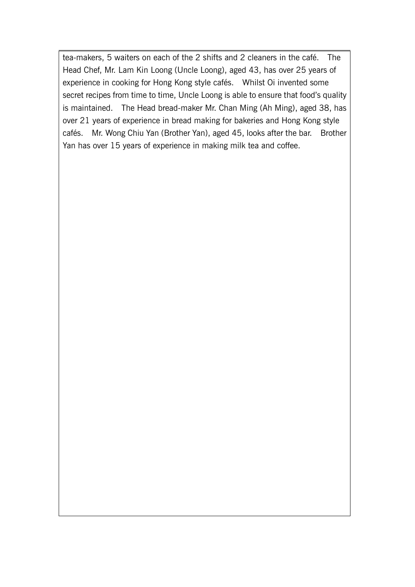tea-makers, 5 waiters on each of the 2 shifts and 2 cleaners in the café. The Head Chef, Mr. Lam Kin Loong (Uncle Loong), aged 43, has over 25 years of experience in cooking for Hong Kong style cafés. Whilst Oi invented some secret recipes from time to time, Uncle Loong is able to ensure that food's quality is maintained. The Head bread-maker Mr. Chan Ming (Ah Ming), aged 38, has over 21 years of experience in bread making for bakeries and Hong Kong style cafés. Mr. Wong Chiu Yan (Brother Yan), aged 45, looks after the bar. Brother Yan has over 15 years of experience in making milk tea and coffee.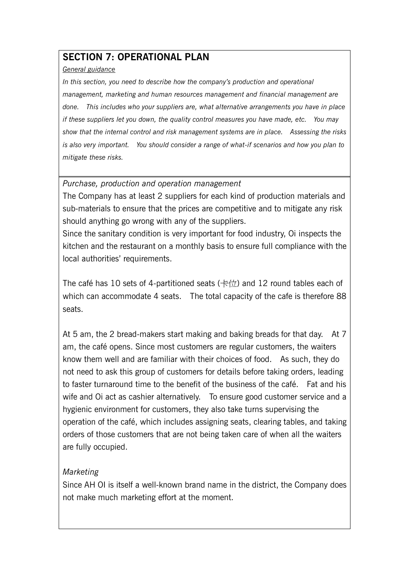# **SECTION 7: OPERATIONAL PLAN**

#### *General guidance*

*In this section, you need to describe how the company's production and operational management, marketing and human resources management and financial management are done. This includes who your suppliers are, what alternative arrangements you have in place if these suppliers let you down, the quality control measures you have made, etc. You may show that the internal control and risk management systems are in place. Assessing the risks is also very important. You should consider a range of what-if scenarios and how you plan to mitigate these risks.*

## *Purchase, production and operation management*

The Company has at least 2 suppliers for each kind of production materials and sub-materials to ensure that the prices are competitive and to mitigate any risk should anything go wrong with any of the suppliers.

Since the sanitary condition is very important for food industry, Oi inspects the kitchen and the restaurant on a monthly basis to ensure full compliance with the local authorities' requirements.

The café has 10 sets of 4-partitioned seats  $(\pm \text{ft})$  and 12 round tables each of which can accommodate 4 seats. The total capacity of the cafe is therefore 88 seats.

At 5 am, the 2 bread-makers start making and baking breads for that day. At 7 am, the café opens. Since most customers are regular customers, the waiters know them well and are familiar with their choices of food. As such, they do not need to ask this group of customers for details before taking orders, leading to faster turnaround time to the benefit of the business of the café. Fat and his wife and Oi act as cashier alternatively. To ensure good customer service and a hygienic environment for customers, they also take turns supervising the operation of the café, which includes assigning seats, clearing tables, and taking orders of those customers that are not being taken care of when all the waiters are fully occupied.

## *Marketing*

Since AH OI is itself a well-known brand name in the district, the Company does not make much marketing effort at the moment.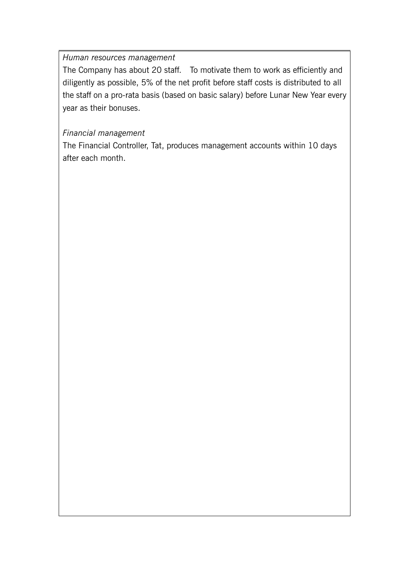*Human resources management*

The Company has about 20 staff. To motivate them to work as efficiently and diligently as possible, 5% of the net profit before staff costs is distributed to all the staff on a pro-rata basis (based on basic salary) before Lunar New Year every year as their bonuses.

## *Financial management*

The Financial Controller, Tat, produces management accounts within 10 days after each month.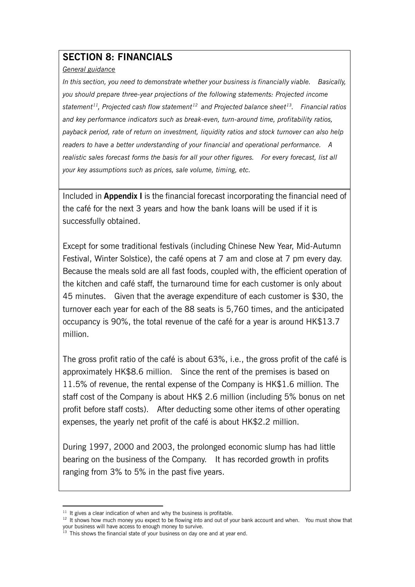# **SECTION 8: FINANCIALS**

#### *General guidance*

*In this section, you need to demonstrate whether your business is financially viable. Basically, you should prepare three-year projections of the following statements: Projected income statement [11,](#page-18-0) Projected cash flow statement [12](#page-18-1) and Projected balance sheet[13](#page-18-2). Financial ratios and key performance indicators such as break-even, turn-around time, profitability ratios, payback period, rate of return on investment, liquidity ratios and stock turnover can also help readers to have a better understanding of your financial and operational performance. A realistic sales forecast forms the basis for all your other figures. For every forecast, list all your key assumptions such as prices, sale volume, timing, etc.*

Included in **Appendix I** is the financial forecast incorporating the financial need of the café for the next 3 years and how the bank loans will be used if it is successfully obtained.

Except for some traditional festivals (including Chinese New Year, Mid-Autumn Festival, Winter Solstice), the café opens at 7 am and close at 7 pm every day. Because the meals sold are all fast foods, coupled with, the efficient operation of the kitchen and café staff, the turnaround time for each customer is only about 45 minutes. Given that the average expenditure of each customer is \$30, the turnover each year for each of the 88 seats is 5,760 times, and the anticipated occupancy is 90%, the total revenue of the café for a year is around HK\$13.7 million.

The gross profit ratio of the café is about 63%, i.e., the gross profit of the café is approximately HK\$8.6 million. Since the rent of the premises is based on 11.5% of revenue, the rental expense of the Company is HK\$1.6 million. The staff cost of the Company is about HK\$ 2.6 million (including 5% bonus on net profit before staff costs). After deducting some other items of other operating expenses, the yearly net profit of the café is about HK\$2.2 million.

During 1997, 2000 and 2003, the prolonged economic slump has had little bearing on the business of the Company. It has recorded growth in profits ranging from 3% to 5% in the past five years.

.

 $11$  It gives a clear indication of when and why the business is profitable.

<span id="page-18-1"></span><span id="page-18-0"></span><sup>&</sup>lt;sup>12</sup> It shows how much money you expect to be flowing into and out of your bank account and when. You must show that your business will have access to enough money to survive.

<span id="page-18-2"></span> $13$  This shows the financial state of your business on day one and at year end.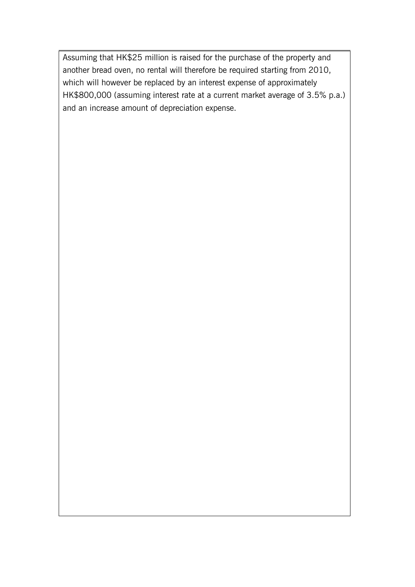Assuming that HK\$25 million is raised for the purchase of the property and another bread oven, no rental will therefore be required starting from 2010, which will however be replaced by an interest expense of approximately HK\$800,000 (assuming interest rate at a current market average of 3.5% p.a.) and an increase amount of depreciation expense.